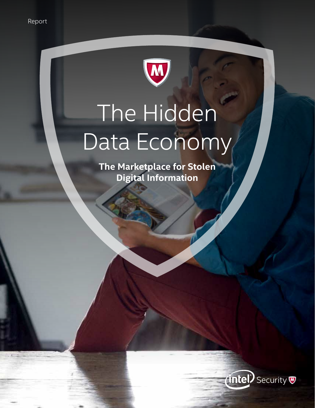

# The Hidden Data Economy

**The Marketplace for Stolen Digital Information**

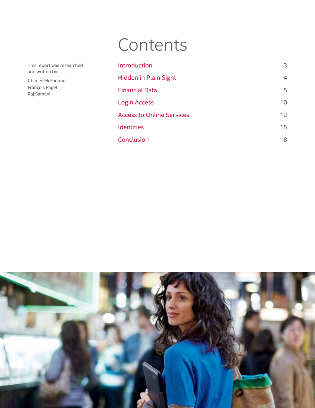## Contents

[Introduction](#page-2-0) 3 [Hidden in Plain Sight](#page-3-0) 4 [Financial Data](#page-4-0) 5 [Login Access](#page-9-0) 2012 10 [Access to Online Services](#page-11-0) 12 [Identities](#page-14-0) 15 **[Conclusion](#page-17-0)** 18

| This report was researched |  |
|----------------------------|--|
| and written by:            |  |

Charles McFarland François Paget Raj Samani

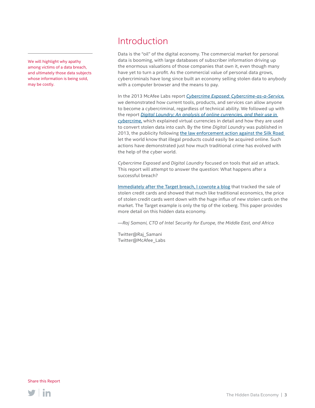### Introduction

Data is the "oil" of the digital economy. The commercial market for personal data is booming, with large databases of subscriber information driving up the enormous valuations of those companies that own it, even though many have yet to turn a profit. As the commercial value of personal data grows, cybercriminals have long since built an economy selling stolen data to anybody with a computer browser and the means to pay.

In the 2013 McAfee Labs report *[Cybercrime Exposed: Cybercrime-as-a-Service,](http://www.mcafee.com/us/resources/white-papers/wp-cybercrime-exposed.pdf)* we demonstrated how current tools, products, and services can allow anyone to become a cybercriminal, regardless of technical ability. We followed up with the report *[Digital Laundry: An analysis of online currencies, and their use in](http://www.mcafee.com/us/resources/white-papers/wp-digital-laundry.pdf)  [cybercrime,](http://www.mcafee.com/us/resources/white-papers/wp-digital-laundry.pdf)* which explained virtual currencies in detail and how they are used to convert stolen data into cash. By the time *Digital Laundry* was published in 2013, the publicity following [the law enforcement action against the Silk Road](https://www.fbi.gov/newyork/press-releases/2014/operator-of-silk-road-2.0-website-charged-in-manhattan-federal-court) let the world know that illegal products could easily be acquired online. Such actions have demonstrated just how much traditional crime has evolved with the help of the cyber world.

*Cybercrime Exposed* and *Digital Laundry* focused on tools that aid an attack. This report will attempt to answer the question: What happens after a successful breach?

[Immediately after the Target breach, I cowrote a blog](https://blogs.mcafee.com/mcafee-labs/new-years-sales-big-discounts-stolen-data) that tracked the sale of stolen credit cards and showed that much like traditional economics, the price of stolen credit cards went down with the huge influx of new stolen cards on the market. The Target example is only the tip of the iceberg. This paper provides more detail on this hidden data economy.

*—Raj Samani, CTO of Intel Security for Europe, the Middle East, and Africa*

Twitter@Raj\_Samani Twitter@McAfee\_Labs



<span id="page-2-0"></span>We will highlight why apathy among victims of a data breach, and ultimately those data subjects whose information is being sold, may be costly.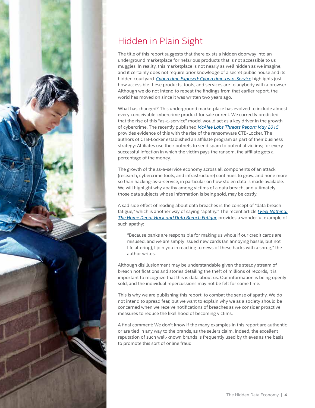<span id="page-3-0"></span>

### Hidden in Plain Sight

The title of this report suggests that there exists a hidden doorway into an underground marketplace for nefarious products that is not accessible to us muggles. In reality, this marketplace is not nearly as well hidden as we imagine, and it certainly does not require prior knowledge of a secret public house and its hidden courtyard. *[Cybercrime Exposed: Cybercrime-as-a-Service](http://www.mcafee.com/us/resources/white-papers/wp-cybercrime-exposed.pdf)* highlights just how accessible these products, tools, and services are to anybody with a browser. Although we do not intend to repeat the findings from that earlier report, the world has moved on since it was written two years ago.

What has changed? This underground marketplace has evolved to include almost every conceivable cybercrime product for sale or rent. We correctly predicted that the rise of this "as-a-service" model would act as a key driver in the growth of cybercrime. The recently published *[McAfee Labs Threats Report: May 2015](http://www.mcafee.com/us/resources/reports/rp-quarterly-threat-q1-2015.pdf)* provides evidence of this with the rise of the ransomware CTB-Locker. The authors of CTB-Locker established an affiliate program as part of their business strategy: Affiliates use their botnets to send spam to potential victims; for every successful infection in which the victim pays the ransom, the affiliate gets a percentage of the money.

The growth of the as-a-service economy across all components of an attack (research, cybercrime tools, and infrastructure) continues to grow, and none more so than hacking-as-a-service, in particular on how stolen data is made available. We will highlight why apathy among victims of a data breach, and ultimately those data subjects whose information is being sold, may be costly.

A sad side effect of reading about data breaches is the concept of "data breach fatigue," which is another way of saying "apathy." The recent article *[I Feel Nothing:](http://www.npr.org/sections/alltechconsidered/2014/09/03/345539074/i-feel-nothing-the-home-depot-hack-and-data-breach-fatigue)  [The Home Depot Hack and Data Breach Fatigue](http://www.npr.org/sections/alltechconsidered/2014/09/03/345539074/i-feel-nothing-the-home-depot-hack-and-data-breach-fatigue)* provides a wonderful example of such apathy:

"Because banks are responsible for making us whole if our credit cards are misused, and we are simply issued new cards (an annoying hassle, but not life altering), I join you in reacting to news of these hacks with a shrug," the author writes.

Although disillusionment may be understandable given the steady [stream o](http://www.nielsen.com/us/en/insights/news/2014/smartphones-so-many-apps--so-much-time.html)f breach notifications and stories detailing the theft of millions of records, it is important to recognize that this is data about us. Our information is being openly sold, and the individual repercussions may not be felt for some time.

This is why we are publishing this report: to combat the sense of apathy. We do not intend to spread fear, but we want to explain why we as a society should be concerned when we receive notifications of breaches as we consider proactive measures to reduce the likelihood of becoming victims.

A final comment: We don't know if the many examples in this report are authentic or are tied in any way to the brands, as the sellers claim. Indeed, the excellent reputation of such well-known brands is frequently used by thieves as the basis to promote this sort of online fraud.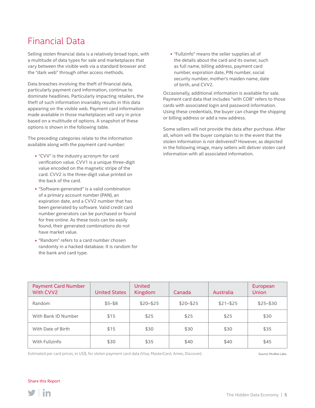### <span id="page-4-0"></span>Financial Data

Selling stolen financial data is a relatively broad topic, with a multitude of data types for sale and marketplaces that vary between the visible web via a standard browser and the "dark web" through other access methods.

Data breaches involving the theft of financial data, particularly payment card information, continue to dominate headlines. Particularly impacting retailers, the theft of such information invariably results in this data appearing on the visible web. Payment card information made available in those marketplaces will vary in price based on a multitude of options. A snapshot of these options is shown in the following table.

The preceding categories relate to the information available along with the payment card number:

- "CVV" is the industry acronym for card verification value. CVV1 is a unique three-digit value encoded on the magnetic stripe of the card. CVV2 is the three-digit value printed on the back of the card.
- "Software-generated" is a valid combination of a primary account number (PAN), an expiration date, and a CVV2 number that has been generated by software. Valid credit card number generators can be purchased or found for free online. As these tools can be easily found, their generated combinations do not have market value.
- "Random" refers to a card number chosen randomly in a hacked database. It is random for the bank and card type.

■ "Fullzinfo" means the seller supplies all of the details about the card and its owner, such as full name, billing address, payment card number, expiration date, PIN number, social security number, mother's maiden name, date of birth, and CVV2.

Occasionally, additional information is available for sale. Payment card data that includes "with COB" refers to those cards with associated login and password information. Using these credentials, the buyer can change the shipping or billing address or add a new address.

Some sellers will not provide the data after purchase. After all, whom will the buyer complain to in the event that the stolen information is not delivered? However, as depicted in the following image, many sellers will deliver stolen card information with all associated information.

| <b>Payment Card Number</b><br>With CVV2 | <b>United States</b> | <b>United</b><br>Kingdom | Canada      | Australia   | European<br><b>Union</b> |
|-----------------------------------------|----------------------|--------------------------|-------------|-------------|--------------------------|
| Random                                  | $$5 - $8$            | $$20 - $25$              | $$20 - $25$ | $$21 - $25$ | $$25 - $30$              |
| With Bank ID Number                     | \$15                 | \$25                     | \$25        | \$25        | \$30                     |
| With Date of Birth                      | \$15                 | \$30                     | \$30        | \$30        | \$35                     |
| With Fullzinfo                          | \$30                 | \$35                     | \$40        | \$40        | \$45                     |

Estimated per card prices, in US\$, for stolen payment card data (Visa, MasterCard, Amex, Discover). Source: McAfee Labs.

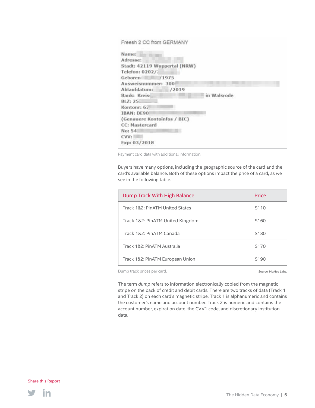| Freesh 2 CC from GERMANY     |             |  |
|------------------------------|-------------|--|
| Name:                        |             |  |
| Adresse:                     |             |  |
| Stadt: 42119 Wuppertal (NRW) |             |  |
| Telefon: 0202/2              |             |  |
| Geboren<br>/1975             |             |  |
| Ausweisnummer: 300           |             |  |
| Ablaufdatum:<br>/2019        |             |  |
| Bank: Kreiss                 | in Walsrode |  |
| BLZ: 25.                     |             |  |
| Kontonr: 62                  |             |  |
| <b>IBAN: DE90</b>            |             |  |
| (Genauere Kontoinfos / BIC)  |             |  |
| <b>CC: Mastercard</b>        |             |  |
| No: 54                       |             |  |
| CVV:                         |             |  |
| Exp: 03/2018                 |             |  |

Payment card data with additional information.

Buyers have many options, including the geographic source of the card and the card's available balance. Both of these options impact the price of a card, as we see in the following table.

| Dump Track With High Balance     | Price |
|----------------------------------|-------|
| Track 1&2: PinATM United States  | \$110 |
| Track 1&2: PinATM United Kingdom | \$160 |
| Track 1&2: PinATM Canada         | \$180 |
| Track 1&2: PinATM Australia      | \$170 |
| Track 1&2: PinATM European Union | \$190 |

Dump track prices per card.

Source: McAfee Labs.

The term *dump* refers to information electronically copied from the magnetic stripe on the back of credit and debit cards. There are two tracks of data (Track 1 and Track 2) on each card's magnetic stripe. Track 1 is alphanumeric and contains the customer's name and account number. Track 2 is numeric and contains the account number, expiration date, the CVV1 code, and discretionary institution data.

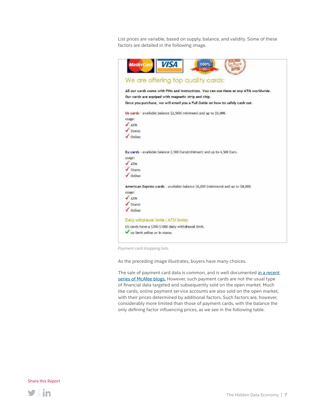List prices are variable, based on supply, balance, and validity. Some of these factors are detailed in the following image.

| <b>VISA</b><br><b>MasterCard</b><br>$100\%$                                                                                                                                                                                  |
|------------------------------------------------------------------------------------------------------------------------------------------------------------------------------------------------------------------------------|
| We are offering top quality cards:                                                                                                                                                                                           |
| All our cards come with PINs and instructions. You can use them at any ATM worldwide.<br>Our cards are equiped with magnetic strip and chip.<br>Once you purchase, we will email you a Full Guide on how to safely cash out. |
| Us cards - available balance \$2,500(minimum) and up to \$5,000.<br>usage:<br>ATM<br>Stores<br>Online                                                                                                                        |
| Eu cards - available balance 2,500 Euro(minimum) and up to 4,500 Euro.<br>usage:<br>ATM<br>Stores<br>Online                                                                                                                  |
| American Express cards - available balance \$6,000 (minimum) and up to \$8,000.<br>usage:<br><b>ATM</b><br>Stores<br>Online                                                                                                  |
| Daily withdrawal limits (ATM limits)<br>US cards have a \$700-\$1000 daily withdrawal limit.<br>no limit online or in stores                                                                                                 |

Payment card shopping lists.

As the preceding image illustrates, buyers have many choices.

The sale of payment card data is common, and is well documented in a recent [series of McAfee blogs.](https://blogs.mcafee.com/mcafee-labs/new-years-sales-big-discounts-stolen-data) However, such payment cards are not the usual type of financial data targeted and subsequently sold on the open market. Much like cards, online payment service accounts are also sold on the open market, with their prices determined by additional factors. Such factors are, however, considerably more limited than those of payment cards, with the balance the only defining factor influencing prices, as we see in the following table.

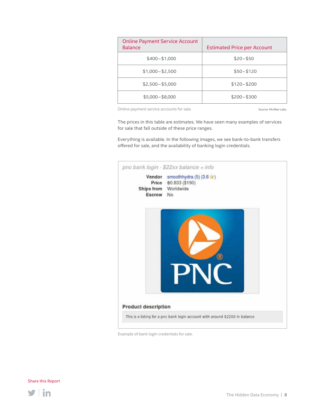| <b>Online Payment Service Account</b><br><b>Balance</b> | <b>Estimated Price per Account</b> |
|---------------------------------------------------------|------------------------------------|
| $$400 - $1,000$                                         | $$20 - $50$                        |
| $$1,000 - $2,500$                                       | $$50 - $120$                       |
| $$2,500 - $5,000$                                       | $$120 - $200$                      |
| $$5,000 - $8,000$                                       | $$200 - $300$                      |

Online payment service accounts for sale.

Source: McAfee Labs.

The prices in this table are estimates. We have seen many examples of services for sale that fall outside of these price ranges.

Everything is available. In the following images, we see bank-to-bank transfers offered for sale, and the availability of banking login credentials.



Example of bank login credentials for sale.

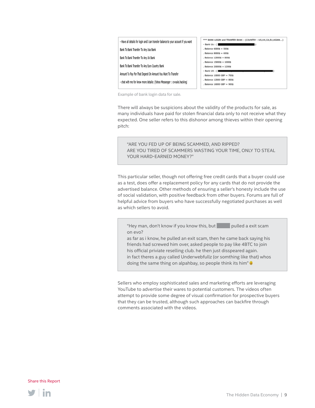

| *** BANK LOGIN and TRANFER BANK: (COUNTRY: US,UK,CA,EJ,ASIAN) |
|---------------------------------------------------------------|
| - Bank Us : {                                                 |
| . Balance 6000\$ = 500\$                                      |
| . Balance 8000\$ = 600\$                                      |
| . Balance 120005 = 8005                                       |
| . Balance 15000\$ = 1000\$                                    |
| . Balance 20000\$ = 1200\$                                    |
| - Bank UK : (                                                 |
| . Balance 10000 GBP = 700\$                                   |
| . Balance 12000 GBP = 800\$                                   |
| . Balance 16000 GBP = 900\$                                   |

Example of bank login data for sale.

There will always be suspicions about the validity of the products for sale, as many individuals have paid for stolen financial data only to not receive what they expected. One seller refers to this dishonor among thieves within their opening pitch:

"ARE YOU FED UP OF BEING SCAMMED, AND RIPPED? ARE YOU TIRED OF SCAMMERS WASTING YOUR TIME, ONLY TO STEAL YOUR HARD-EARNED MONEY?"

This particular seller, though not offering free credit cards that a buyer could use as a test, does offer a replacement policy for any cards that do not provide the advertised balance. Other methods of ensuring a seller's honesty include the use of social validation, with positive feedback from other buyers. Forums are full of helpful advice from buyers who have successfully negotiated purchases as well as which sellers to avoid.

"Hey man, don't know if you know this, but pulled a exit scam on evo?

as far as i know, he pulled an exit scam, then he came back saying his friends had screwed him over, asked people to pay like 4BTC to join his official priviate reselling club. he then just disspeared again. in fact theres a guy called Underwebfullz (or somthing like that) whos doing the same thing on alpahbay, so people think its him"

Sellers who employ sophisticated sales and marketing efforts are leveraging YouTube to advertise their wares to potential customers. The videos often attempt to provide some degree of visual confirmation for prospective buyers that they can be trusted, although such approaches can backfire through comments associated with the videos.

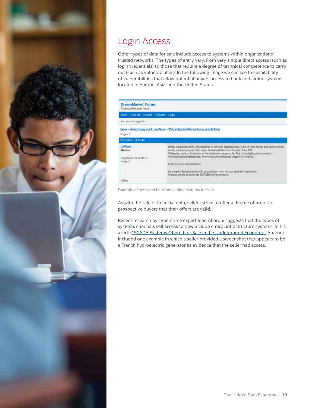<span id="page-9-0"></span>

### Login Access

Other types of data for sale include access to systems within organizations' trusted networks. The types of entry vary, from very simple direct access (such as login credentials) to those that require a degree of technical competence to carry out (such as vulnerabilities). In the following image we can see the availability of vulnerabilities that allow potential buyers access to bank and airline systems located in Europe, Asia, and the United States.

| <b>DreamMarket Forum</b><br>DreamMarket user forum.      |                                                                                                                                                                                                                                                                                                                                                                                                                                                                                                                                                                                 |
|----------------------------------------------------------|---------------------------------------------------------------------------------------------------------------------------------------------------------------------------------------------------------------------------------------------------------------------------------------------------------------------------------------------------------------------------------------------------------------------------------------------------------------------------------------------------------------------------------------------------------------------------------|
| Index Userlist Search Register Login                     |                                                                                                                                                                                                                                                                                                                                                                                                                                                                                                                                                                                 |
| You are not logged in.                                   |                                                                                                                                                                                                                                                                                                                                                                                                                                                                                                                                                                                 |
| Pages: 1                                                 | Index - Advertising and Promotions - Web Vulnerabilities in Banks and Airlines                                                                                                                                                                                                                                                                                                                                                                                                                                                                                                  |
| 2015-03-31 14:25:46                                      |                                                                                                                                                                                                                                                                                                                                                                                                                                                                                                                                                                                 |
| daflame<br>Member.<br>Registered: 2015-03-31<br>Posts: 2 | selling a package of 30 vulnerabilities in different organizations, most of them banks and some airlines.<br>on the package you can find major banks and they're in Europe, Asia, US.<br>I'll display name of the banks to the interested people only. The vulnerability gives access to<br>the organizations databases, where you can explore/go deep if you wish to.<br>hese are web vulnerabilities.<br>instruction with a complete<br>for people interested reply with your Jabber then we can start the negotiation.<br>I'll show proofs of banks db BEFORE any procedure. |
| Offine                                                   |                                                                                                                                                                                                                                                                                                                                                                                                                                                                                                                                                                                 |

Example of access to bank and airline systems for sale.

As with the sale of financial data, sellers strive to offer a degree of proof to prospective buyers that their offers are valid.

Recent research by cybercrime expert Idan Aharoni suggests that the types of systems criminals sell access to now include critical infrastructure systems. In his article ["SCADA Systems Offered for Sale in the Underground Economy,"](http://www.infosecisland.com/blogview/24608-SCADA-Systems-Offered-for-Sale-in-the-Underground-Economy.html) Aharoni included one example in which a seller provided a screenshot that appears to be a French hydroelectric generator as evidence that the seller had access.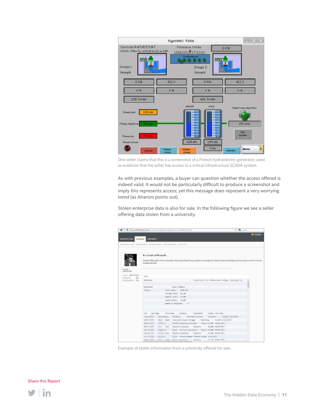

One seller claims that this is a screenshot of a French hydroelectric generator, used as evidence that the seller has access to a critical infrastructure SCADA system.

As with previous examples, a buyer can question whether the access offered is indeed valid. It would not be particularly difficult to produce a screenshot and imply this represents access; yet this message does represent a very worrying trend (as Aharoni points out).

Stolen enterprise data is also for sale. In the following figure we see a seller offering data stolen from a university.

|                                       | 8 * 6 / 15 people was a series to be in the formation of the contract of the contract of the contract of the                                                                                                                            | TO R-IVE |
|---------------------------------------|-----------------------------------------------------------------------------------------------------------------------------------------------------------------------------------------------------------------------------------------|----------|
| MARKETPLACE<br>VORUSEL.               | <b><i>UREMAERS</i></b>                                                                                                                                                                                                                  |          |
|                                       | North Factors Blade - Scale & Four Arts & Company - Washing Timester - Send Foural                                                                                                                                                      |          |
|                                       | Re: Casple of DR ripolls<br>그 동안 전에 가고 있는 그들이 인기 시작이 가지고 있는 것이 있었다.<br>Austine DE judad. Cas't remember idnes I got these from, maybe a university lid. Serry for the futureting, but since these are five I'm ant<br>warried about it. |          |
| <b>Active Grower</b>                  |                                                                                                                                                                                                                                         |          |
| How 1 - \$54.92 2319<br>331           | <b>Civita</b>                                                                                                                                                                                                                           |          |
| 791012911<br><b>Jos Received 1944</b> | <b>DAUNIES</b>                                                                                                                                                                                                                          |          |
|                                       | Supertaint<br>- bies howey                                                                                                                                                                                                              |          |
|                                       | Flagen.<br>futal distance<br>2159, 115                                                                                                                                                                                                  |          |
|                                       | Autrage Salary . At inn                                                                                                                                                                                                                 |          |
|                                       | Highest Islany, 45,000                                                                                                                                                                                                                  |          |
|                                       | Lovert Jolery 31,498                                                                                                                                                                                                                    |          |
|                                       | Hamber of Dealersee.                                                                                                                                                                                                                    |          |
|                                       | progressor today directors<br>LANT HAND<br>FEITH AIM POSTERS<br>1.04                                                                                                                                                                    |          |
|                                       | Canadian  assistant streeter  total for  . comme convented<br>Edward and The                                                                                                                                                            |          |
|                                       | 2001 Edith Corporate Accounts Panager  New Map  10,440 Corporate<br><b>Matter</b>                                                                                                                                                       |          |
|                                       | <b>State-State State</b><br>Schools Parkeling Associate . Cowner 34,450 BS12179011<br><b><i>Committee Committee Committee Committee</i></b>                                                                                             |          |
|                                       | \$44-to-test.<br>- mm floor. Taxashin issociate<br>Rosseys 11,800 81/18 (painting)<br>M.                                                                                                                                                |          |
|                                       | <b>Miller</b><br>lines datenticipalist: Found H.W. MORTH.<br>$-$<br>Commercial Con-<br>y be dill could<br>Residents atmosfered                                                                                                          |          |
|                                       | Continue Moke<br><b>IFLANK WORKSHIPS</b><br>Research<br><b>GLE-STORIES</b><br>plan (Innoce Heatger through 10,000 1410)<br><b>The Second Control</b>                                                                                    |          |
|                                       | <b>LIBERT</b><br>$\equiv$                                                                                                                                                                                                               |          |

Example of stolen information from a university offered for sale.

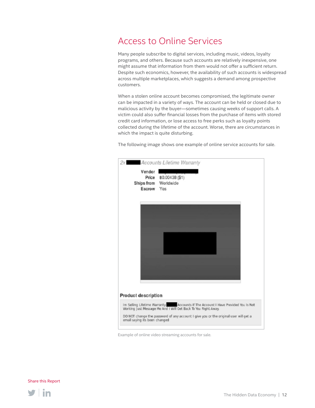### <span id="page-11-0"></span>Access to Online Services

Many people subscribe to digital services, including music, videos, loyalty programs, and others. Because such accounts are relatively inexpensive, one might assume that information from them would not offer a sufficient return. Despite such economics, however, the availability of such accounts is widespread across multiple marketplaces, which suggests a demand among prospective customers.

When a stolen online account becomes compromised, the legitimate owner can be impacted in a variety of ways. The account can be held or closed due to malicious activity by the buyer—sometimes causing weeks of support calls. A victim could also suffer financial losses from the purchase of items with stored credit card information, or lose access to free perks such as loyalty points collected during the lifetime of the account. Worse, there are circumstances in which the impact is quite disturbing.

The following image shows one example of online service accounts for sale.

| 2x                                           | <b>Accounts Lifetime Warranty</b>                                                                                                                   |
|----------------------------------------------|-----------------------------------------------------------------------------------------------------------------------------------------------------|
| Vendor<br>Ships from Worldwide<br>Escrow Yes | Price 80.00438 (\$1)                                                                                                                                |
|                                              |                                                                                                                                                     |
|                                              |                                                                                                                                                     |
|                                              |                                                                                                                                                     |
| Product description                          |                                                                                                                                                     |
|                                              | Im Selling Lifetime Warranty   Accounts If The Account I Have Provided You Is Not<br>Working Just Message Me And I Will Get Back To You Right Away. |
| email saying its been changed                | DO NOT change the password of any account I give you or the original user will get a                                                                |

Example of online video streaming accounts for sale.

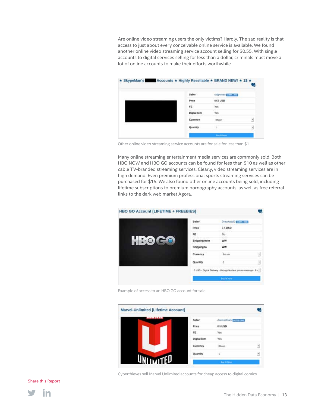Are online video streaming users the only victims? Hardly. The sad reality is that access to just about every conceivable online service is available. We found another online video streaming service account selling for \$0.55. With single accounts to digital services selling for less than a dollar, criminals must move a lot of online accounts to make their efforts worthwhile.

| * SkypeMan's Accounts * Highly Resellable * BRAND NEW! * 1S * |                     |
|---------------------------------------------------------------|---------------------|
| Seller                                                        | skypeman [1335.9 m] |
| Price                                                         | 0.55 USD            |
| FE                                                            | Yes                 |
| <b>Digital items</b>                                          | Yes                 |
| Currency                                                      | <b>Bitcon</b><br>н  |
| Quantity                                                      | 뉙                   |
|                                                               | by It farm.         |

Other online video streaming service accounts are for sale for less than \$1.

Many online streaming entertainment media services are commonly sold. Both HBO NOW and HBO GO accounts can be found for less than \$10 as well as other cable TV-branded streaming services. Clearly, video streaming services are in high demand. Even premium professional sports streaming services can be purchased for \$15. We also found other online accounts being sold, including lifetime subscriptions to premium pornography accounts, as well as free referral links to the dark web market Agora.

| <b>HBO GO Account [LIFETIME + FREEBIES]</b> |                      |                                                                     |   |
|---------------------------------------------|----------------------|---------------------------------------------------------------------|---|
|                                             | <b>Seller</b>        | DrawkwarD TUSSTERS                                                  |   |
|                                             | Price                | 7.5 USD                                                             |   |
|                                             | FE                   | No                                                                  |   |
| $\frac{1}{2}$ : 0<br>$\mathbf{C}$           | <b>Shipping from</b> | ww                                                                  |   |
|                                             | Shipping to          | ww                                                                  |   |
|                                             | Currency             | Bitcoin                                                             | Ŀ |
|                                             | Quantity             | $\geq 1$                                                            | Ŋ |
|                                             |                      | 0 USD - Digital Delivery - through Nucleus private message - 8 ( *) |   |
|                                             |                      | <b>Buy It Now!</b>                                                  |   |

Example of access to an HBO GO account for sale.

| <b>Marvel-Unlimited [Lifetime Account]</b> |              |                                |   |
|--------------------------------------------|--------------|--------------------------------|---|
| 11 - 11 1 1 1                              | Seller       | Account Gunu <b>King Brand</b> |   |
|                                            | Price        | 0.5 USD                        |   |
|                                            | FE.          | : Yes                          |   |
|                                            | Digital item | Yes                            |   |
|                                            | Currency     | <b>Bibcout</b>                 | ы |
|                                            | Quantity     |                                | ч |
| <b>WITEU</b>                               |              | <b>Buy It Now</b>              |   |

Cyberthieves sell Marvel Unlimited accounts for cheap access to digital comics.

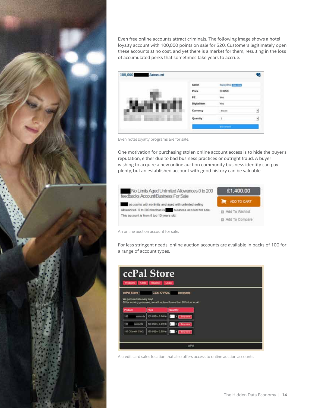

Even free online accounts attract criminals. The following image shows a hotel loyalty account with 100,000 points on sale for \$20. Customers legitimately open these accounts at no cost, and yet there is a market for them, resulting in the loss of accumulated perks that sometimes take years to accrue.

![](_page_13_Figure_2.jpeg)

Even hotel loyalty programs are for sale.

One motivation for purchasing stolen online account access is to hide the buyer's reputation, either due to bad business practices or outright fraud. A buyer wishing to acquire a new online auction community business identity can pay plenty, but an established account with good history can be valuable.

![](_page_13_Figure_5.jpeg)

An online auction account for sale.

For less stringent needs, online auction accounts are available in packs of 100 for a range of account types.

![](_page_13_Figure_8.jpeg)

A credit card sales location that also offers access to online auction accounts.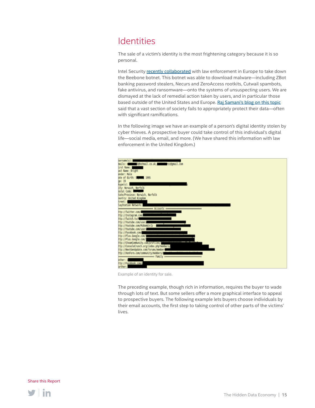### <span id="page-14-0"></span>**Identities**

The sale of a victim's identity is the most frightening category because it is so personal.

Intel Security [recently collaborated](http://www.mcafee.com/us/resources/reports/rp-catch-me-if-you-can.pdf) with law enforcement in Europe to take down the Beebone botnet. This botnet was able to download malware—including ZBot banking password stealers, Necurs and ZeroAccess rootkits, Cutwail spambots, fake antivirus, and ransomware—onto the systems of unsuspecting users. We are dismayed at the lack of remedial action taken by users, and in particular those based outside of the United States and Europe. [Raj Samani's blog on this topic](http://www.net-security.org/article.php?id=2352) said that a vast section of society fails to appropriately protect their data—often with significant ramifications.

In the following image we have an example of a person's digital identity stolen by cyber thieves. A prospective buyer could take control of this individual's digital life—social media, email, and more. (We have shared this information with law enforcement in the United Kingdom.)

![](_page_14_Figure_4.jpeg)

Example of an identity for sale.

The preceding example, though rich in information, requires the buyer to wade through lots of text. But some sellers offer a more graphical interface to appeal to prospective buyers. The following example lets buyers choose individuals by their email accounts, the first step to taking control of other parts of the victims' lives.

![](_page_14_Picture_8.jpeg)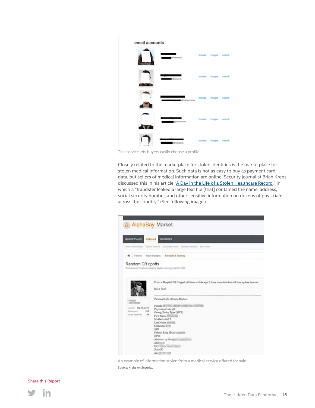![](_page_15_Figure_0.jpeg)

This service lets buyers easily choose a profile.

Closely related to the marketplace for stolen identities is the marketplace for stolen medical information. Such data is not as easy to buy as payment card data, but sellers of medical information are online. Security journalist Brian Krebs discussed this in his article ["A Day in the Life of a Stolen Healthcare Record,"](http://krebsonsecurity.com/2015/04/a-day-in-the-life-of-a-stolen-healthcare-record/) in which a "fraudster leaked a large text file [that] contained the name, address, social security number, and other sensitive information on dozens of physicians across the country." (See following image.)

![](_page_15_Picture_3.jpeg)

An example of information stolen from a medical service offered for sale.

Source: Krebs on Security.

![](_page_15_Picture_7.jpeg)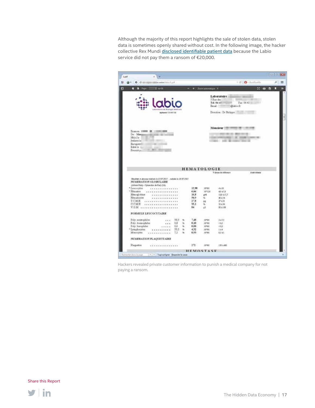Although the majority of this report highlights the sale of stolen data, stolen data is sometimes openly shared without cost. In the following image, the hacker collective Rex Mundi [disclosed identifiable patient data](http://www.databreaches.net/as-threatened-rex-mundi-dumps-labio-patients-diagnostic-test-results/) because the Labio service did not pay them a ransom of €20,000.

|                                                                                               |                          |            |                    |                                                               |                                    | de 12       |
|-----------------------------------------------------------------------------------------------|--------------------------|------------|--------------------|---------------------------------------------------------------|------------------------------------|-------------|
| This is a short wide a strong to<br>传统                                                        |                          |            |                    |                                                               | $+$ ( $+$ $\Omega$ - flashflashfla | ø           |
| Il sucht                                                                                      |                          |            | Zoom automatique 1 |                                                               | ×                                  | π<br>a<br>n |
|                                                                                               |                          |            |                    | Laboratoire<br>5 Rue des<br>T4:04:42<br>Email:<br>dilabio fr. | m<br>Fag: 04 42                    |             |
| Aplanta' 5-100 / 111                                                                          |                          |            |                    | Direction : Dr Philippe                                       |                                    |             |
|                                                                                               |                          |            |                    |                                                               |                                    |             |
|                                                                                               |                          |            |                    | Monsieur (1881) 1999 1999 1991                                |                                    |             |
| Eranen <b>JIIII. III</b><br><b>COLOR</b><br>De: Morm                                          |                          |            |                    |                                                               | 图 2015 图 1 图 1 图 1                 |             |
| Nile) le<br>Prélevé la                                                                        |                          |            |                    | and of the company three                                      | SE GROBATOS                        |             |
| Enregistré<br><b>STATE OF CASTLES</b>                                                         |                          |            |                    |                                                               |                                    |             |
| Edite 1<br>Control of Control<br>数位 第1<br>Prescrit po-                                        |                          |            |                    |                                                               |                                    |             |
|                                                                                               |                          |            |                    |                                                               |                                    |             |
|                                                                                               |                          |            |                    |                                                               |                                    |             |
|                                                                                               |                          |            |                    |                                                               |                                    |             |
|                                                                                               |                          |            |                    |                                                               |                                    |             |
|                                                                                               |                          |            | <b>HEMATOLOGIE</b> |                                                               |                                    |             |
|                                                                                               |                          |            |                    | Valeanch officers                                             | Avginidade.                        |             |
| Resultant in alcostop what the 15 07 2017 [1] watchin for 20 07 2017<br>NUMERATION GLOBULAIRE |                          |            |                    |                                                               |                                    |             |
| (Abbets Ruby - Oyten Hais de fina) (TA)<br>* Leacocytes<br>                                   |                          | 12.90      | 10/65              | 4415                                                          |                                    |             |
| + Hématira<br>                                                                                |                          | 6.06       | 10°12A             | 40458                                                         |                                    |             |
| Hem agl obine<br>**********                                                                   |                          | 16.8       | and.               | 13.0 437.7                                                    |                                    |             |
| Hématocnie<br>.                                                                               |                          | 50.9       | ×.                 | 401.54                                                        |                                    |             |
| TCMH<br>******************                                                                    |                          | 27.8       | sg.                | 27 4 31                                                       |                                    |             |
| CCMH<br>.                                                                                     |                          | 33.1<br>84 | u.<br>ü            | 324.56<br><b>10 A 100</b>                                     |                                    |             |
| V.G.M<br>FORMULE LEUCOCYTAIRE                                                                 |                          |            |                    |                                                               |                                    |             |
| 58.0<br>$\mathbf{r}$                                                                          | ×                        | 7.48       | uuro<br>10%1       | SCALE<br>2475                                                 |                                    |             |
| Poly. neutrophiles<br>Poly, connephiles<br>0.8<br>                                            | $\mathcal{H}$            | 0.10       | 10'94              | $-0.5$                                                        |                                    |             |
| Fely. basephiles<br>0.6<br>$-11111$                                                           | u                        | 0.08       | 10'95              | 693                                                           |                                    |             |
| * Lymphocytes<br>33.5                                                                         | 76                       | 4.32       | 10°95              | 144                                                           |                                    |             |
| Monocytes<br>72<br>$A = A + B = A + A + A + B$                                                | $\overline{\phantom{a}}$ | 0.93       | 10°9/L             | 0.2 AT                                                        |                                    |             |
| NUMERATION PLAQUETTAIRE                                                                       |                          |            |                    |                                                               |                                    |             |
| Haquettes<br>                                                                                 |                          | $-272$     | 10°90              | 130 4 400                                                     |                                    |             |

Hackers revealed private customer information to punish a medical company for not paying a ransom.

![](_page_16_Picture_4.jpeg)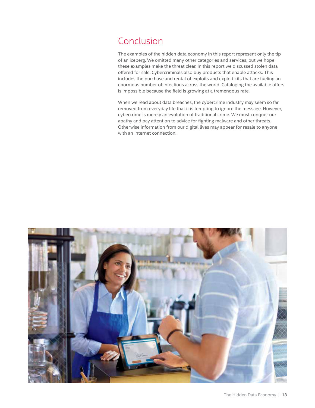### <span id="page-17-0"></span>Conclusion

The examples of the hidden data economy in this report represent only the tip of an iceberg. We omitted many other categories and services, but we hope these examples make the threat clear. In this report we discussed stolen data offered for sale. Cybercriminals also buy products that enable attacks. This includes the purchase and rental of exploits and exploit kits that are fueling an enormous number of infections across the world. Cataloging the available offers is impossible because the field is growing at a tremendous rate.

When we read about data breaches, the cybercrime industry may seem so far removed from everyday life that it is tempting to ignore the message. However, cybercrime is merely an evolution of traditional crime. We must conquer our apathy and pay attention to advice for fighting malware and other threats. Otherwise information from our digital lives may appear for resale to anyone with an Internet connection.

![](_page_17_Picture_3.jpeg)